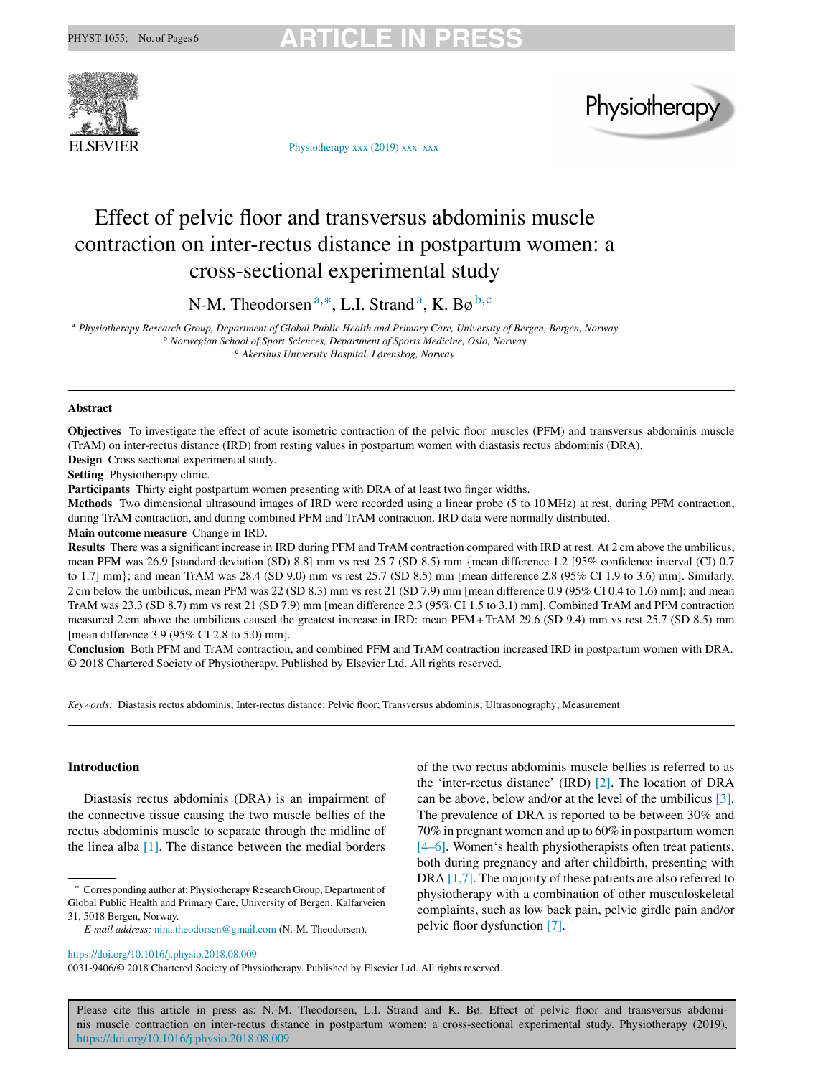



[Physiotherapy xxx \(2019\)](https://doi.org/10.1016/j.physio.2018.08.009) xxx–xxx

# Effect of pelvic floor and transversus abdominis muscle contraction on inter-rectus distance in postpartum women: a cross-sectional experimental study

N-M. Theodorsen <sup>a</sup>*,*∗, L.I. Strand a, K. Bø <sup>b</sup>*,*<sup>c</sup>

<sup>a</sup> *Physiotherapy Research Group, Department of Global Public Health and Primary Care, University of Bergen, Bergen, Norway* <sup>b</sup> *Norwegian School of Sport Sciences, Department of Sports Medicine, Oslo, Norway* <sup>c</sup> *Akershus University Hospital, Lørenskog, Norway*

## **Abstract**

**Objectives** To investigate the effect of acute isometric contraction of the pelvic floor muscles (PFM) and transversus abdominis muscle (TrAM) on inter-rectus distance (IRD) from resting values in postpartum women with diastasis rectus abdominis (DRA). **Design** Cross sectional experimental study.

**Setting** Physiotherapy clinic.

**Participants** Thirty eight postpartum women presenting with DRA of at least two finger widths.

**Methods** Two dimensional ultrasound images of IRD were recorded using a linear probe (5 to 10 MHz) at rest, during PFM contraction, during TrAM contraction, and during combined PFM and TrAM contraction. IRD data were normally distributed.

**Main outcome measure** Change in IRD.

**Results** There was a significant increase in IRD during PFM and TrAM contraction compared with IRD at rest. At 2 cm above the umbilicus, mean PFM was 26.9 [standard deviation (SD) 8.8] mm vs rest 25.7 (SD 8.5) mm {mean difference 1.2 [95% confidence interval (CI) 0.7 to 1.7] mm}; and mean TrAM was 28.4 (SD 9.0) mm vs rest 25.7 (SD 8.5) mm [mean difference 2.8 (95% CI 1.9 to 3.6) mm]. Similarly, 2 cm below the umbilicus, mean PFM was 22 (SD 8.3) mm vs rest 21 (SD 7.9) mm [mean difference 0.9 (95% CI 0.4 to 1.6) mm]; and mean TrAM was 23.3 (SD 8.7) mm vs rest 21 (SD 7.9) mm [mean difference 2.3 (95% CI 1.5 to 3.1) mm]. Combined TrAM and PFM contraction measured 2 cm above the umbilicus caused the greatest increase in IRD: mean PFM + TrAM 29.6 (SD 9.4) mm vs rest 25.7 (SD 8.5) mm [mean difference 3.9 (95% CI 2.8 to 5.0) mm].

**Conclusion** Both PFM and TrAM contraction, and combined PFM and TrAM contraction increased IRD in postpartum women with DRA. © 2018 Chartered Society of Physiotherapy. Published by Elsevier Ltd. All rights reserved.

*Keywords:* Diastasis rectus abdominis; Inter-rectus distance; Pelvic floor; Transversus abdominis; Ultrasonography; Measurement

# **Introduction**

Diastasis rectus abdominis (DRA) is an impairment of the connective tissue causing the two muscle bellies of the rectus abdominis muscle to separate through the midline of the linea alba [\[1\].](#page-5-0) The distance between the medial borders

Corresponding author at: Physiotherapy Research Group, Department of Global Public Health and Primary Care, University of Bergen, Kalfarveien 31, 5018 Bergen, Norway.

of the two rectus abdominis muscle bellies is referred to as the 'inter-rectus distance' (IRD) [\[2\].](#page-5-0) The location of DRA can be above, below and/or at the level of the umbilicus [\[3\].](#page-5-0) The prevalence of DRA is reported to be between 30% and 70% in pregnant women and up to 60% in postpartum women [\[4–6\].](#page-5-0) Women's health physiotherapists often treat patients, both during pregnancy and after childbirth, presenting with DRA [\[1,7\]. T](#page-5-0)he majority of these patients are also referred to physiotherapy with a combination of other musculoskeletal complaints, such as low back pain, pelvic girdle pain and/or pelvic floor dysfunction [\[7\].](#page-5-0)

<https://doi.org/10.1016/j.physio.2018.08.009>

0031-9406/© 2018 Chartered Society of Physiotherapy. Published by Elsevier Ltd. All rights reserved.

*E-mail address:* [nina.theodorsen@gmail.com](mailto:nina.theodorsen@gmail.com) (N.-M. Theodorsen).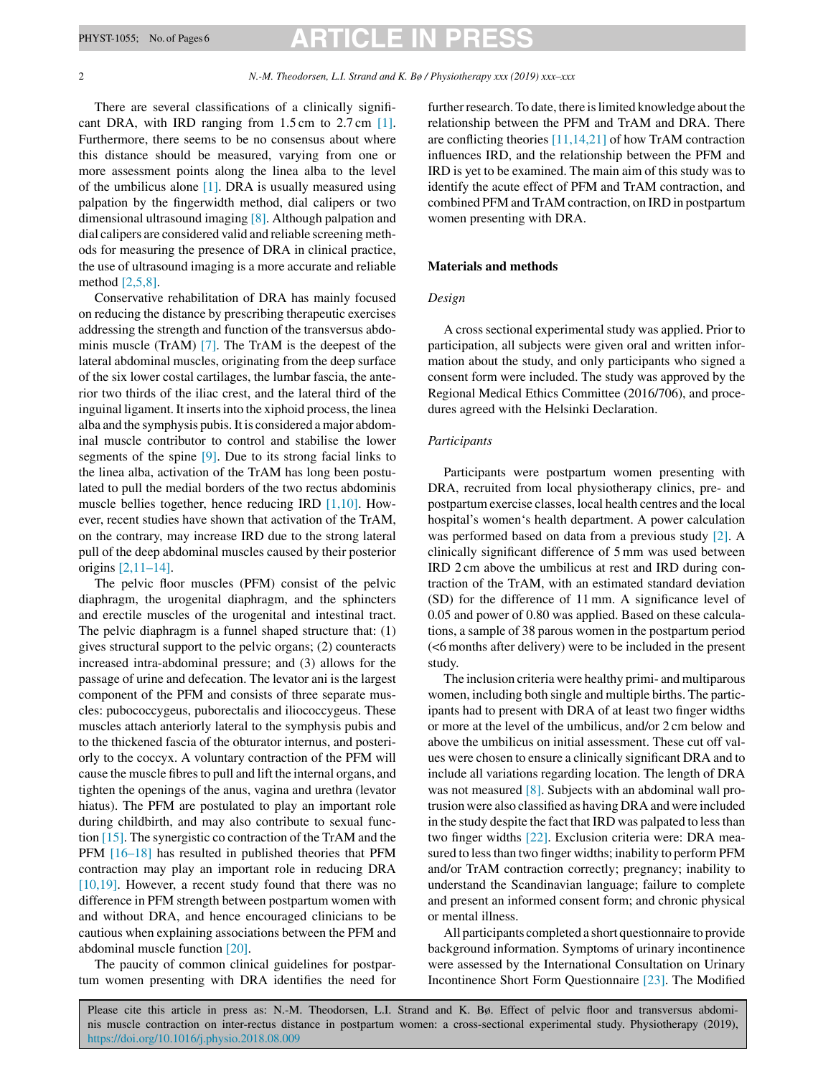# PHYST-1055; No. of Pages 6 **ARTICLE IN PRESS**

#### 2 *N.-M. Theodorsen, L.I. Strand and K. Bø / Physiotherapy xxx (2019) xxx–xxx*

There are several classifications of a clinically significant DRA, with IRD ranging from 1.5 cm to 2.7 cm [\[1\].](#page-5-0) Furthermore, there seems to be no consensus about where this distance should be measured, varying from one or more assessment points along the linea alba to the level of the umbilicus alone  $[1]$ . DRA is usually measured using palpation by the fingerwidth method, dial calipers or two dimensional ultrasound imaging [\[8\]. A](#page-5-0)lthough palpation and dial calipers are considered valid and reliable screening methods for measuring the presence of DRA in clinical practice, the use of ultrasound imaging is a more accurate and reliable method [\[2,5,8\].](#page-5-0)

Conservative rehabilitation of DRA has mainly focused on reducing the distance by prescribing therapeutic exercises addressing the strength and function of the transversus abdominis muscle (TrAM) [\[7\].](#page-5-0) The TrAM is the deepest of the lateral abdominal muscles, originating from the deep surface of the six lower costal cartilages, the lumbar fascia, the anterior two thirds of the iliac crest, and the lateral third of the inguinal ligament. It inserts into the xiphoid process, the linea alba and the symphysis pubis. It is considered a major abdominal muscle contributor to control and stabilise the lower segments of the spine [\[9\].](#page-5-0) Due to its strong facial links to the linea alba, activation of the TrAM has long been postulated to pull the medial borders of the two rectus abdominis muscle bellies together, hence reducing IRD [\[1,10\].](#page-5-0) However, recent studies have shown that activation of the TrAM, on the contrary, may increase IRD due to the strong lateral pull of the deep abdominal muscles caused by their posterior origins [\[2,11–14\].](#page-5-0)

The pelvic floor muscles (PFM) consist of the pelvic diaphragm, the urogenital diaphragm, and the sphincters and erectile muscles of the urogenital and intestinal tract. The pelvic diaphragm is a funnel shaped structure that: (1) gives structural support to the pelvic organs; (2) counteracts increased intra-abdominal pressure; and (3) allows for the passage of urine and defecation. The levator ani is the largest component of the PFM and consists of three separate muscles: pubococcygeus, puborectalis and iliococcygeus. These muscles attach anteriorly lateral to the symphysis pubis and to the thickened fascia of the obturator internus, and posteriorly to the coccyx. A voluntary contraction of the PFM will cause the muscle fibres to pull and lift the internal organs, and tighten the openings of the anus, vagina and urethra (levator hiatus). The PFM are postulated to play an important role during childbirth, and may also contribute to sexual function [\[15\]. T](#page-5-0)he synergistic co contraction of the TrAM and the PFM [\[16–18\]](#page-5-0) has resulted in published theories that PFM contraction may play an important role in reducing DRA [\[10,19\].](#page-5-0) However, a recent study found that there was no difference in PFM strength between postpartum women with and without DRA, and hence encouraged clinicians to be cautious when explaining associations between the PFM and abdominal muscle function [\[20\].](#page-5-0)

The paucity of common clinical guidelines for postpartum women presenting with DRA identifies the need for further research. To date, there is limited knowledge about the relationship between the PFM and TrAM and DRA. There are conflicting theories [\[11,14,21\]](#page-5-0) of how TrAM contraction influences IRD, and the relationship between the PFM and IRD is yet to be examined. The main aim of this study was to identify the acute effect of PFM and TrAM contraction, and combined PFM and TrAM contraction, on IRD in postpartum women presenting with DRA.

### **Materials and methods**

## *Design*

A cross sectional experimental study was applied. Prior to participation, all subjects were given oral and written information about the study, and only participants who signed a consent form were included. The study was approved by the Regional Medical Ethics Committee (2016/706), and procedures agreed with the Helsinki Declaration.

### *Participants*

Participants were postpartum women presenting with DRA, recruited from local physiotherapy clinics, pre- and postpartum exercise classes, local health centres and the local hospital's women's health department. A power calculation was performed based on data from a previous study [\[2\].](#page-5-0) A clinically significant difference of 5 mm was used between IRD 2 cm above the umbilicus at rest and IRD during contraction of the TrAM, with an estimated standard deviation (SD) for the difference of 11 mm. A significance level of 0.05 and power of 0.80 was applied. Based on these calculations, a sample of 38 parous women in the postpartum period (<6 months after delivery) were to be included in the present study.

The inclusion criteria were healthy primi- and multiparous women, including both single and multiple births. The participants had to present with DRA of at least two finger widths or more at the level of the umbilicus, and/or 2 cm below and above the umbilicus on initial assessment. These cut off values were chosen to ensure a clinically significant DRA and to include all variations regarding location. The length of DRA was not measured [\[8\]. S](#page-5-0)ubjects with an abdominal wall protrusion were also classified as having DRA and were included in the study despite the fact that IRD was palpated to less than two finger widths [\[22\].](#page-5-0) Exclusion criteria were: DRA measured to less than two finger widths; inability to perform PFM and/or TrAM contraction correctly; pregnancy; inability to understand the Scandinavian language; failure to complete and present an informed consent form; and chronic physical or mental illness.

All participants completed a short questionnaire to provide background information. Symptoms of urinary incontinence were assessed by the International Consultation on Urinary Incontinence Short Form Questionnaire [\[23\].](#page-5-0) The Modified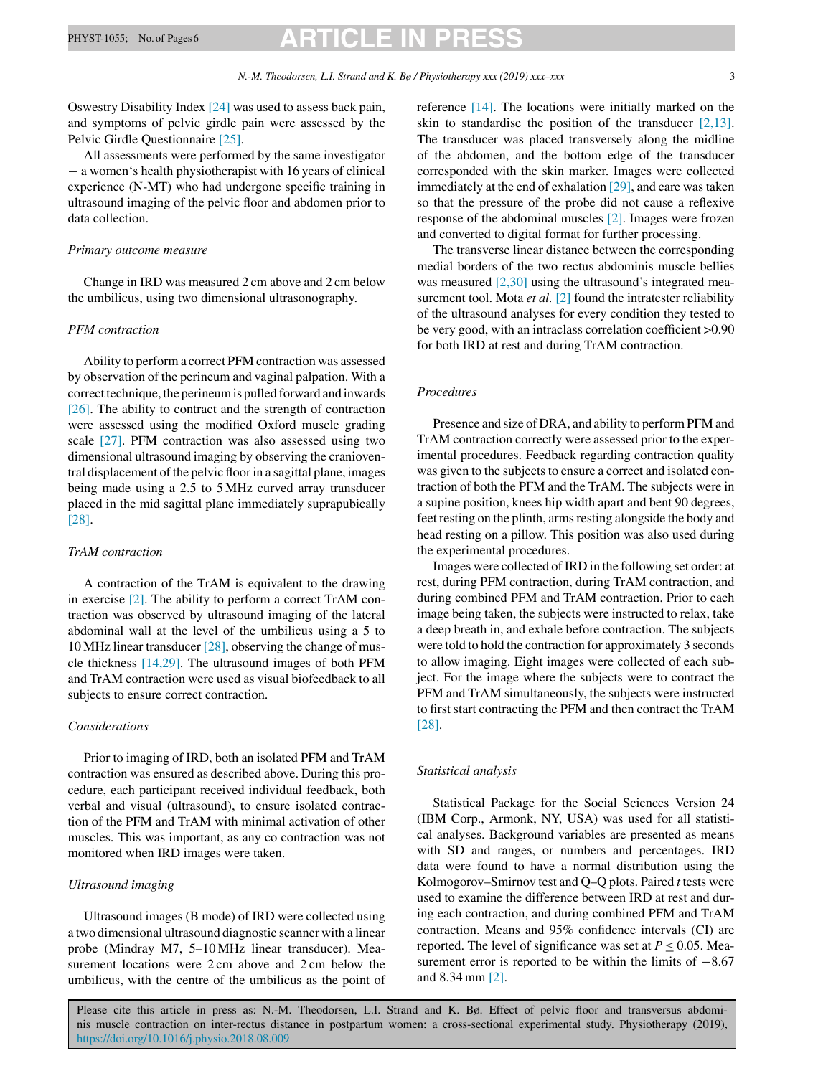Oswestry Disability Index [\[24\]](#page-5-0) was used to assess back pain, and symptoms of pelvic girdle pain were assessed by the Pelvic Girdle Questionnaire [\[25\].](#page-5-0)

All assessments were performed by the same investigator − a women's health physiotherapist with 16 years of clinical experience (N-MT) who had undergone specific training in ultrasound imaging of the pelvic floor and abdomen prior to data collection.

## *Primary outcome measure*

Change in IRD was measured 2 cm above and 2 cm below the umbilicus, using two dimensional ultrasonography.

# *PFM contraction*

Ability to perform a correct PFM contraction was assessed by observation of the perineum and vaginal palpation. With a correct technique, the perineum is pulled forward and inwards [\[26\].](#page-5-0) The ability to contract and the strength of contraction were assessed using the modified Oxford muscle grading scale [\[27\].](#page-5-0) PFM contraction was also assessed using two dimensional ultrasound imaging by observing the cranioventral displacement of the pelvic floor in a sagittal plane, images being made using a 2.5 to 5 MHz curved array transducer placed in the mid sagittal plane immediately suprapubically [\[28\].](#page-5-0)

# *TrAM contraction*

A contraction of the TrAM is equivalent to the drawing in exercise [\[2\].](#page-5-0) The ability to perform a correct TrAM contraction was observed by ultrasound imaging of the lateral abdominal wall at the level of the umbilicus using a 5 to 10 MHz linear transducer [\[28\], o](#page-5-0)bserving the change of muscle thickness [\[14,29\].](#page-5-0) The ultrasound images of both PFM and TrAM contraction were used as visual biofeedback to all subjects to ensure correct contraction.

# *Considerations*

Prior to imaging of IRD, both an isolated PFM and TrAM contraction was ensured as described above. During this procedure, each participant received individual feedback, both verbal and visual (ultrasound), to ensure isolated contraction of the PFM and TrAM with minimal activation of other muscles. This was important, as any co contraction was not monitored when IRD images were taken.

# *Ultrasound imaging*

Ultrasound images (B mode) of IRD were collected using a two dimensional ultrasound diagnostic scanner with a linear probe (Mindray M7, 5–10 MHz linear transducer). Measurement locations were 2 cm above and 2 cm below the umbilicus, with the centre of the umbilicus as the point of reference [\[14\].](#page-5-0) The locations were initially marked on the skin to standardise the position of the transducer  $[2,13]$ . The transducer was placed transversely along the midline of the abdomen, and the bottom edge of the transducer corresponded with the skin marker. Images were collected immediately at the end of exhalation [\[29\], a](#page-5-0)nd care was taken so that the pressure of the probe did not cause a reflexive response of the abdominal muscles [\[2\].](#page-5-0) Images were frozen and converted to digital format for further processing.

The transverse linear distance between the corresponding medial borders of the two rectus abdominis muscle bellies was measured  $[2,30]$  using the ultrasound's integrated measurement tool. Mota *et al.* [\[2\]](#page-5-0) found the intratester reliability of the ultrasound analyses for every condition they tested to be very good, with an intraclass correlation coefficient >0.90 for both IRD at rest and during TrAM contraction.

# *Procedures*

Presence and size of DRA, and ability to perform PFM and TrAM contraction correctly were assessed prior to the experimental procedures. Feedback regarding contraction quality was given to the subjects to ensure a correct and isolated contraction of both the PFM and the TrAM. The subjects were in a supine position, knees hip width apart and bent 90 degrees, feet resting on the plinth, arms resting alongside the body and head resting on a pillow. This position was also used during the experimental procedures.

Images were collected of IRD in the following set order: at rest, during PFM contraction, during TrAM contraction, and during combined PFM and TrAM contraction. Prior to each image being taken, the subjects were instructed to relax, take a deep breath in, and exhale before contraction. The subjects were told to hold the contraction for approximately 3 seconds to allow imaging. Eight images were collected of each subject. For the image where the subjects were to contract the PFM and TrAM simultaneously, the subjects were instructed to first start contracting the PFM and then contract the TrAM [\[28\].](#page-5-0)

### *Statistical analysis*

Statistical Package for the Social Sciences Version 24 (IBM Corp., Armonk, NY, USA) was used for all statistical analyses. Background variables are presented as means with SD and ranges, or numbers and percentages. IRD data were found to have a normal distribution using the Kolmogorov–Smirnov test and Q–Q plots. Paired *t* tests were used to examine the difference between IRD at rest and during each contraction, and during combined PFM and TrAM contraction. Means and 95% confidence intervals (CI) are reported. The level of significance was set at  $P \le 0.05$ . Measurement error is reported to be within the limits of  $-8.67$ and 8.34 mm [\[2\].](#page-5-0)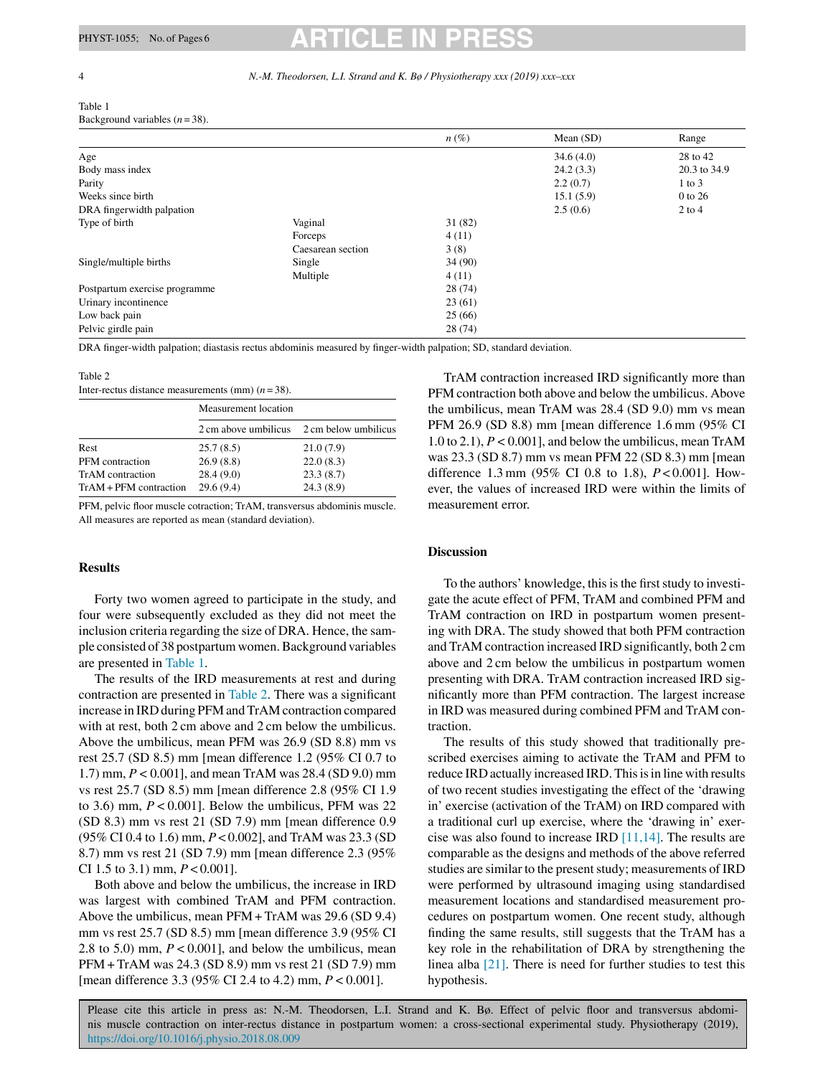#### <span id="page-3-0"></span>4 *N.-M. Theodorsen, L.I. Strand and K. Bø / Physiotherapy xxx (2019) xxx–xxx*

#### Table 1 Background variables  $(n=38)$ .

|                               |                   | $n(\%)$ | Mean $(SD)$ | Range        |
|-------------------------------|-------------------|---------|-------------|--------------|
| Age                           |                   |         | 34.6(4.0)   | 28 to 42     |
| Body mass index               |                   |         | 24.2(3.3)   | 20.3 to 34.9 |
| Parity                        |                   |         | 2.2(0.7)    | $1$ to $3$   |
| Weeks since birth             |                   |         | 15.1(5.9)   | 0 to 26      |
| DRA fingerwidth palpation     |                   |         | 2.5(0.6)    | $2$ to $4$   |
| Type of birth                 | Vaginal           | 31(82)  |             |              |
|                               | Forceps           | 4(11)   |             |              |
|                               | Caesarean section | 3(8)    |             |              |
| Single/multiple births        | Single            | 34(90)  |             |              |
|                               | Multiple          | 4(11)   |             |              |
| Postpartum exercise programme |                   | 28(74)  |             |              |
| Urinary incontinence          |                   | 23(61)  |             |              |
| Low back pain                 |                   | 25(66)  |             |              |
| Pelvic girdle pain            |                   | 28(74)  |             |              |

DRA finger-width palpation; diastasis rectus abdominis measured by finger-width palpation; SD, standard deviation.

## Table 2

| Inter-rectus distance measurements (mm) $(n=38)$ . |  |  |  |
|----------------------------------------------------|--|--|--|
|----------------------------------------------------|--|--|--|

|                          | Measurement location |                                           |  |
|--------------------------|----------------------|-------------------------------------------|--|
|                          |                      | 2 cm above umbilicus 2 cm below umbilicus |  |
| <b>Rest</b>              | 25.7(8.5)            | 21.0(7.9)                                 |  |
| PFM contraction          | 26.9(8.8)            | 22.0(8.3)                                 |  |
| TrAM contraction         | 28.4(9.0)            | 23.3(8.7)                                 |  |
| $TrAM + PFM$ contraction | 29.6(9.4)            | 24.3(8.9)                                 |  |

PFM, pelvic floor muscle cotraction; TrAM, transversus abdominis muscle. All measures are reported as mean (standard deviation).

### **Results**

Forty two women agreed to participate in the study, and four were subsequently excluded as they did not meet the inclusion criteria regarding the size of DRA. Hence, the sample consisted of 38 postpartum women. Background variables are presented in Table 1.

The results of the IRD measurements at rest and during contraction are presented in Table 2. There was a significant increase in IRD during PFM and TrAM contraction compared with at rest, both 2 cm above and 2 cm below the umbilicus. Above the umbilicus, mean PFM was 26.9 (SD 8.8) mm vs rest 25.7 (SD 8.5) mm [mean difference 1.2 (95% CI 0.7 to 1.7) mm, *P <*0.001], and mean TrAM was 28.4 (SD 9.0) mm vs rest 25.7 (SD 8.5) mm [mean difference 2.8 (95% CI 1.9 to 3.6) mm,  $P < 0.001$ . Below the umbilicus, PFM was 22 (SD 8.3) mm vs rest 21 (SD 7.9) mm [mean difference 0.9 (95% CI 0.4 to 1.6) mm, *P* < 0.002], and TrAM was 23.3 (SD 8.7) mm vs rest 21 (SD 7.9) mm [mean difference 2.3 (95% CI 1.5 to 3.1) mm, *P* < 0.001].

Both above and below the umbilicus, the increase in IRD was largest with combined TrAM and PFM contraction. Above the umbilicus, mean PFM + TrAM was 29.6 (SD 9.4) mm vs rest 25.7 (SD 8.5) mm [mean difference 3.9 (95% CI 2.8 to 5.0) mm, *P <*0.001], and below the umbilicus, mean PFM + TrAM was 24.3 (SD 8.9) mm vs rest 21 (SD 7.9) mm [mean difference 3.3 (95% CI 2.4 to 4.2) mm, *P <*0.001].

TrAM contraction increased IRD significantly more than PFM contraction both above and below the umbilicus. Above the umbilicus, mean TrAM was 28.4 (SD 9.0) mm vs mean PFM 26.9 (SD 8.8) mm [mean difference 1.6 mm (95% CI 1.0 to 2.1), *P <*0.001], and below the umbilicus, mean TrAM was 23.3 (SD 8.7) mm vs mean PFM 22 (SD 8.3) mm [mean difference 1.3 mm (95% CI 0.8 to 1.8), *P* < 0.001]. However, the values of increased IRD were within the limits of measurement error.

## **Discussion**

To the authors' knowledge, this is the first study to investigate the acute effect of PFM, TrAM and combined PFM and TrAM contraction on IRD in postpartum women presenting with DRA. The study showed that both PFM contraction and TrAM contraction increased IRD significantly, both 2 cm above and 2 cm below the umbilicus in postpartum women presenting with DRA. TrAM contraction increased IRD significantly more than PFM contraction. The largest increase in IRD was measured during combined PFM and TrAM contraction.

The results of this study showed that traditionally prescribed exercises aiming to activate the TrAM and PFM to reduce IRD actually increased IRD. This is in line with results of two recent studies investigating the effect of the 'drawing in' exercise (activation of the TrAM) on IRD compared with a traditional curl up exercise, where the 'drawing in' exercise was also found to increase IRD [\[11,14\]. T](#page-5-0)he results are comparable as the designs and methods of the above referred studies are similar to the present study; measurements of IRD were performed by ultrasound imaging using standardised measurement locations and standardised measurement procedures on postpartum women. One recent study, although finding the same results, still suggests that the TrAM has a key role in the rehabilitation of DRA by strengthening the linea alba [\[21\].](#page-5-0) There is need for further studies to test this hypothesis.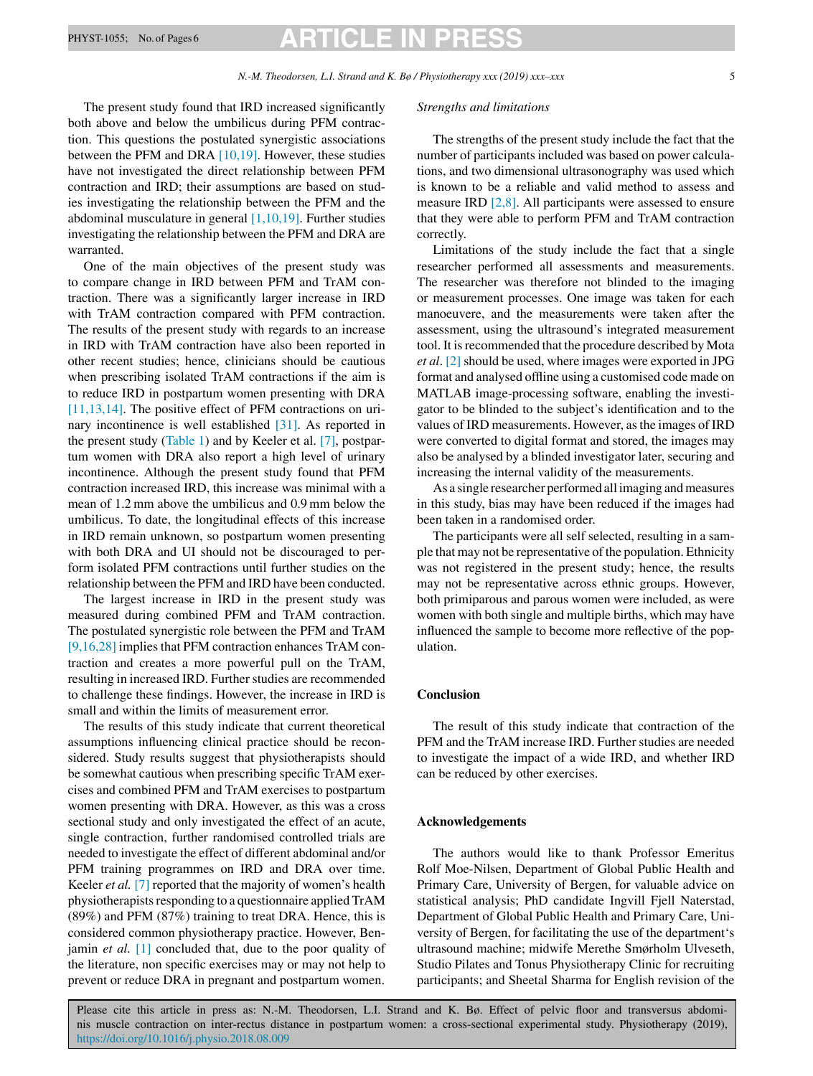# PHYST-1055; No. of Pages 6 **ARTICLE IN**

The present study found that IRD increased significantly both above and below the umbilicus during PFM contraction. This questions the postulated synergistic associations between the PFM and DRA [\[10,19\].](#page-5-0) However, these studies have not investigated the direct relationship between PFM contraction and IRD; their assumptions are based on studies investigating the relationship between the PFM and the abdominal musculature in general  $[1,10,19]$ . Further studies investigating the relationship between the PFM and DRA are warranted.

One of the main objectives of the present study was to compare change in IRD between PFM and TrAM contraction. There was a significantly larger increase in IRD with TrAM contraction compared with PFM contraction. The results of the present study with regards to an increase in IRD with TrAM contraction have also been reported in other recent studies; hence, clinicians should be cautious when prescribing isolated TrAM contractions if the aim is to reduce IRD in postpartum women presenting with DRA [\[11,13,14\].](#page-5-0) The positive effect of PFM contractions on urinary incontinence is well established [\[31\].](#page-5-0) As reported in the present study [\(Table 1\)](#page-3-0) and by Keeler et al. [\[7\],](#page-5-0) postpartum women with DRA also report a high level of urinary incontinence. Although the present study found that PFM contraction increased IRD, this increase was minimal with a mean of 1.2 mm above the umbilicus and 0.9 mm below the umbilicus. To date, the longitudinal effects of this increase in IRD remain unknown, so postpartum women presenting with both DRA and UI should not be discouraged to perform isolated PFM contractions until further studies on the relationship between the PFM and IRD have been conducted.

The largest increase in IRD in the present study was measured during combined PFM and TrAM contraction. The postulated synergistic role between the PFM and TrAM [\[9,16,28\]](#page-5-0) implies that PFM contraction enhances TrAM contraction and creates a more powerful pull on the TrAM, resulting in increased IRD. Further studies are recommended to challenge these findings. However, the increase in IRD is small and within the limits of measurement error.

The results of this study indicate that current theoretical assumptions influencing clinical practice should be reconsidered. Study results suggest that physiotherapists should be somewhat cautious when prescribing specific TrAM exercises and combined PFM and TrAM exercises to postpartum women presenting with DRA. However, as this was a cross sectional study and only investigated the effect of an acute, single contraction, further randomised controlled trials are needed to investigate the effect of different abdominal and/or PFM training programmes on IRD and DRA over time. Keeler *et al.* [\[7\]](#page-5-0) reported that the majority of women's health physiotherapists responding to a questionnaire applied TrAM (89%) and PFM (87%) training to treat DRA. Hence, this is considered common physiotherapy practice. However, Benjamin *et al.* [\[1\]](#page-5-0) concluded that, due to the poor quality of the literature, non specific exercises may or may not help to prevent or reduce DRA in pregnant and postpartum women.

#### *Strengths and limitations*

The strengths of the present study include the fact that the number of participants included was based on power calculations, and two dimensional ultrasonography was used which is known to be a reliable and valid method to assess and measure IRD [\[2,8\].](#page-5-0) All participants were assessed to ensure that they were able to perform PFM and TrAM contraction correctly.

Limitations of the study include the fact that a single researcher performed all assessments and measurements. The researcher was therefore not blinded to the imaging or measurement processes. One image was taken for each manoeuvere, and the measurements were taken after the assessment, using the ultrasound's integrated measurement tool. It is recommended that the procedure described by Mota *et al*. [\[2\]](#page-5-0) should be used, where images were exported in JPG format and analysed offline using a customised code made on MATLAB image-processing software, enabling the investigator to be blinded to the subject's identification and to the values of IRD measurements. However, as the images of IRD were converted to digital format and stored, the images may also be analysed by a blinded investigator later, securing and increasing the internal validity of the measurements.

As a single researcher performed all imaging and measures in this study, bias may have been reduced if the images had been taken in a randomised order.

The participants were all self selected, resulting in a sample that may not be representative of the population. Ethnicity was not registered in the present study; hence, the results may not be representative across ethnic groups. However, both primiparous and parous women were included, as were women with both single and multiple births, which may have influenced the sample to become more reflective of the population.

### **Conclusion**

The result of this study indicate that contraction of the PFM and the TrAM increase IRD. Further studies are needed to investigate the impact of a wide IRD, and whether IRD can be reduced by other exercises.

### **Acknowledgements**

The authors would like to thank Professor Emeritus Rolf Moe-Nilsen, Department of Global Public Health and Primary Care, University of Bergen, for valuable advice on statistical analysis; PhD candidate Ingvill Fjell Naterstad, Department of Global Public Health and Primary Care, University of Bergen, for facilitating the use of the department's ultrasound machine; midwife Merethe Smørholm Ulveseth, Studio Pilates and Tonus Physiotherapy Clinic for recruiting participants; and Sheetal Sharma for English revision of the